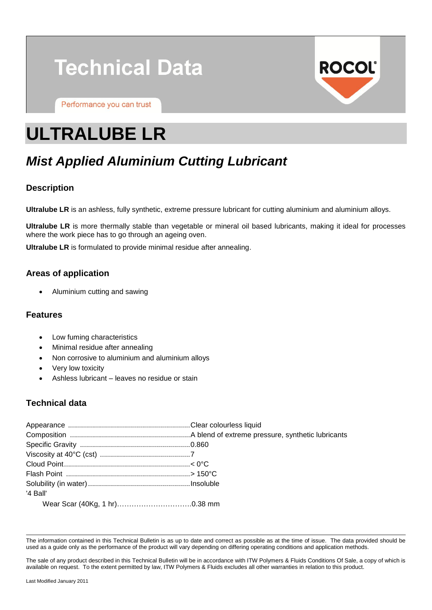# **Technical Data**

Performance you can trust

# **ROCOL**

# **ULTRALUBE LR**

# *Mist Applied Aluminium Cutting Lubricant*

# **Description**

**Ultralube LR** is an ashless, fully synthetic, extreme pressure lubricant for cutting aluminium and aluminium alloys.

**Ultralube LR** is more thermally stable than vegetable or mineral oil based lubricants, making it ideal for processes where the work piece has to go through an ageing oven.

**Ultralube LR** is formulated to provide minimal residue after annealing.

# **Areas of application**

Aluminium cutting and sawing

### **Features**

- Low fuming characteristics
- Minimal residue after annealing
- Non corrosive to aluminium and aluminium alloys
- Very low toxicity
- Ashless lubricant leaves no residue or stain

# **Technical data**

| '4 Ball' |  |
|----------|--|
|          |  |

The information contained in this Technical Bulletin is as up to date and correct as possible as at the time of issue. The data provided should be used as a guide only as the performance of the product will vary depending on differing operating conditions and application methods.

The sale of any product described in this Technical Bulletin will be in accordance with ITW Polymers & Fluids Conditions Of Sale, a copy of which is available on request. To the extent permitted by law, ITW Polymers & Fluids excludes all other warranties in relation to this product.